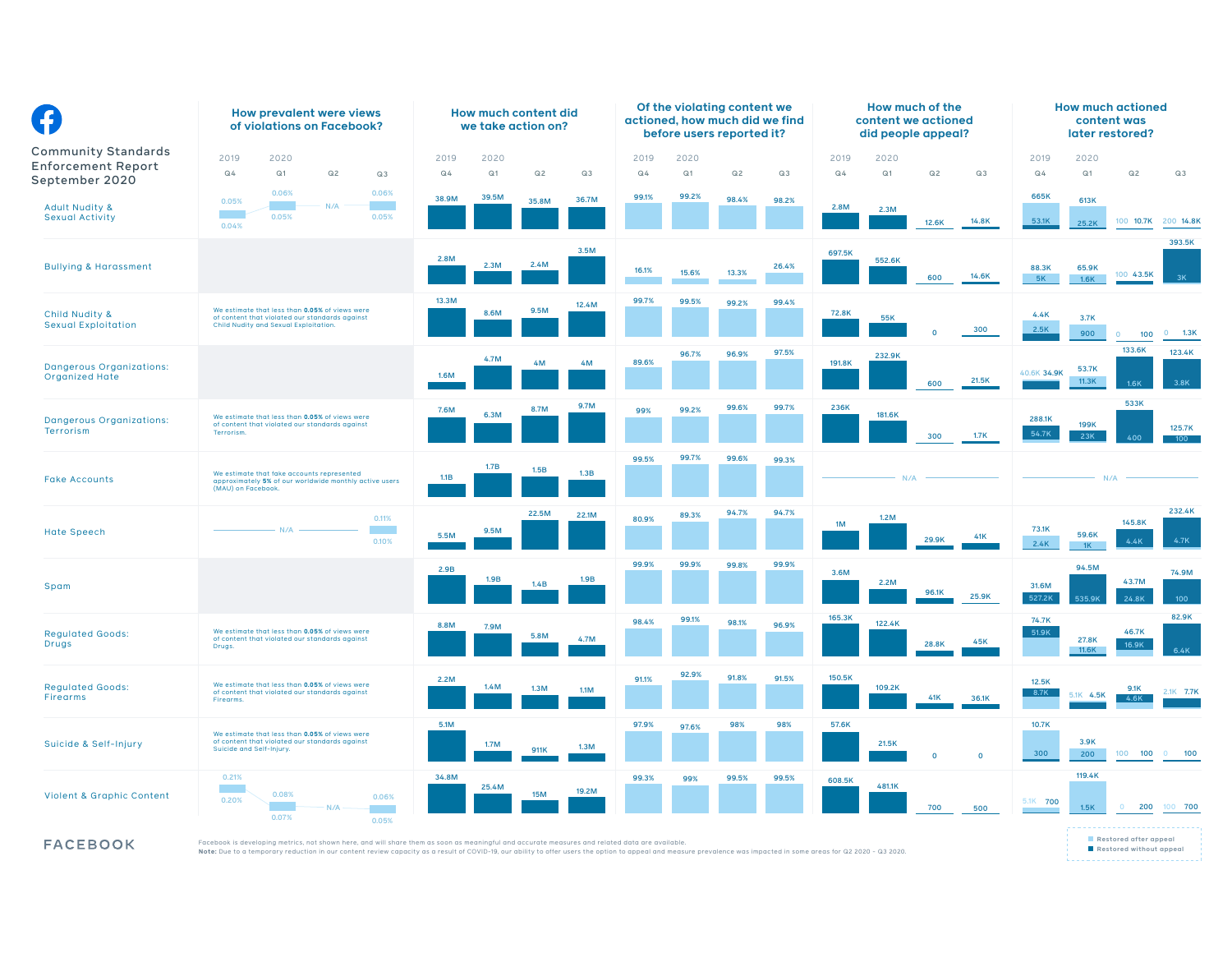|                                                                    | <b>How prevalent were views</b><br>of violations on Facebook?                                                                                                                                                                                                                                                                                                                   | How much content did<br>we take action on?                         | Of the violating content we<br>actioned, how much did we find<br>before users reported it? | How much of the<br>content we actioned<br>did people appeal?             | <b>How much actioned</b><br>content was<br>later restored?                  |  |  |
|--------------------------------------------------------------------|---------------------------------------------------------------------------------------------------------------------------------------------------------------------------------------------------------------------------------------------------------------------------------------------------------------------------------------------------------------------------------|--------------------------------------------------------------------|--------------------------------------------------------------------------------------------|--------------------------------------------------------------------------|-----------------------------------------------------------------------------|--|--|
| Community Standards<br><b>Enforcement Report</b><br>September 2020 | 2019<br>2020<br>Q <sub>4</sub><br>Q <sub>1</sub><br>Q <sub>2</sub><br>Q3                                                                                                                                                                                                                                                                                                        | 2019<br>2020<br>$Q_4$<br>Q <sub>1</sub><br>Q <sub>2</sub><br>$Q_3$ | 2019<br>2020<br>Q <sub>4</sub><br>Q <sub>2</sub><br>Q <sub>3</sub><br>Q <sub>1</sub>       | 2019<br>2020<br>Q <sub>4</sub><br>Q <sub>1</sub><br>Q <sub>2</sub><br>Q3 | 2019<br>2020<br>$Q_4$<br>Q <sub>1</sub><br>Q <sub>2</sub><br>Q <sub>3</sub> |  |  |
| <b>Adult Nudity &amp;</b><br><b>Sexual Activity</b>                | 0.06%<br>0.06%<br>0.05%<br><b>Contract Contract Contract Contract Contract Contract Contract Contract Contract Contract Contract Contract Co</b><br>N/A<br><b>Contract</b><br>0.05%<br>0.05%<br>0.04%                                                                                                                                                                           | 38.9M<br>39.5M<br>36.7M<br>35.8M                                   | 99.2%<br>99.1%<br>98.4%<br>98.2%                                                           | 2.8M<br>2.3M<br>14.8K<br>12.6K                                           | 665K<br>613K<br>53.1K<br>200 14.8K<br>100 10.7K<br>25.2K                    |  |  |
| <b>Bullying &amp; Harassment</b>                                   |                                                                                                                                                                                                                                                                                                                                                                                 | 3.5M<br>2.8M<br>2.4M<br>2.3M                                       | 26.4%<br>16.1%<br>15.6%<br>13.3%                                                           | 697.5K<br>552.6K<br>14.6K<br>600                                         | 393.5K<br>88.3K<br>65.9K<br>100 43.5K<br>3K<br>5K<br>1.6K                   |  |  |
| Child Nudity &<br><b>Sexual Exploitation</b>                       | We estimate that less than 0.05% of views were<br>of content that violated our standards against<br>Child Nudity and Sexual Exploitation.                                                                                                                                                                                                                                       | 13.3M<br>12.4M<br>9.5M<br>8.6M                                     | 99.7%<br>99.5%<br>99.4%<br>99.2%                                                           | 72.8K<br>55K<br>300                                                      | 4.4K<br>3.7K<br>2.5K<br>900<br>1.3K<br>$\circ$<br>100                       |  |  |
| Dangerous Organizations:<br><b>Organized Hate</b>                  |                                                                                                                                                                                                                                                                                                                                                                                 | 4.7M<br>4M<br>4M<br>1.6M                                           | 97.5%<br>96.9%<br>96.7%<br>89.6%                                                           | 232.9K<br>191.8K<br>21.5K<br>600                                         | 133.6K<br>123.4K<br>53.7K<br>40.6K 34.9K<br>11.3K<br>3.8K<br>1.6K           |  |  |
| <b>Dangerous Organizations:</b><br>Terrorism                       | We estimate that less than 0.05% of views were<br>of content that violated our standards against<br>Terrorism                                                                                                                                                                                                                                                                   | 9.7M<br>7.6M<br>8.7M<br>6.3M                                       | 99.7%<br>99.6%<br>99.2%<br>99%                                                             | 236K<br>181.6K<br>1.7K<br>300                                            | 533K<br>288.1K<br><b>199K</b><br>125.7K<br>54.7K<br>23K<br>400<br>100       |  |  |
| <b>Fake Accounts</b>                                               | We estimate that fake accounts represented<br>approximately 5% of our worldwide monthly active users<br>(MAU) on Facebook                                                                                                                                                                                                                                                       | 1.7B<br>1.5B<br>1.3B<br>1.1B                                       | 99.7%<br>99.6%<br>99.3%<br>99.5%                                                           | N/A                                                                      | N/A                                                                         |  |  |
| <b>Hate Speech</b>                                                 | 0.11%<br>N/A<br>0.10%                                                                                                                                                                                                                                                                                                                                                           | 22.5M<br>22.1M<br>9.5M<br>5.5M                                     | 94.7%<br>94.7%<br>89.3%<br>80.9%                                                           | 1.2M<br>1M<br>41K<br>29.9K                                               | 232.4K<br>145.8K<br>73.1K<br>59.6K<br>4.7K<br>4.4K<br>2.4K<br>$-1K$         |  |  |
| Spam                                                               |                                                                                                                                                                                                                                                                                                                                                                                 | 2.9B<br>1.9B<br>1.9B<br>1.4B                                       | 99.9%<br>99.9%<br>99.9%<br>99.8%                                                           | 3.6M<br>2.2M<br>96.1K<br>25.9K                                           | 94.5M<br>74.9M<br>43.7M<br>31.6M<br>527.2K<br>24.8K<br>535.9K<br>100        |  |  |
| <b>Regulated Goods:</b><br><b>Drugs</b>                            | We estimate that less than 0.05% of views were<br>of content that violated our standards against<br>Drugs.                                                                                                                                                                                                                                                                      | 8.8M<br>7.9M<br>5.8M<br>4.7M                                       | 99.1%<br>98.4%<br>98.1%<br>96.9%                                                           | 165.3K<br>122.4K<br>45K<br>28.8K                                         | 82.9K<br>74.7K<br>46.7K<br>51.9K<br>27.8K<br>16.9K<br>11.6K<br>6.4K         |  |  |
| <b>Regulated Goods:</b><br>Firearms                                | We estimate that less than 0.05% of views were<br>of content that violated our standards against<br>Firearms.                                                                                                                                                                                                                                                                   | 2.2M<br>1.4M<br>1.3M<br>1.1M                                       | 92.9%<br>91.8%<br>91.5%<br>91.1%                                                           | 150.5K<br>109.2K<br><b>41K</b><br>36.1K                                  | 12.5K<br>9.1K<br>8.7K<br>2.1K 7.7K<br>5.1K 4.5K<br>4.6K                     |  |  |
| Suicide & Self-Injury                                              | We estimate that less than 0.05% of views were<br>of content that violated our standards against<br>Suicide and Self-Injury.                                                                                                                                                                                                                                                    | 5.1M<br>1.7M<br>1.3M<br>911K                                       | 98%<br>98%<br>97.9%<br>97.6%                                                               | 57.6K<br>21.5K<br>$\circ$                                                | 10.7K<br>3.9K<br>300<br>200<br>100<br>100<br>100                            |  |  |
| Violent & Graphic Content                                          | 0.21%<br>0.08%<br>0.06%<br>0.20%<br>N/A<br>0.07%                                                                                                                                                                                                                                                                                                                                | 34.8M<br>25.4M<br>19.2M<br><b>15M</b>                              | 99.3%<br>99.5%<br>99.5%<br>99%                                                             | 608.5K<br>481.1K<br>700<br>500                                           | 119.4K<br>5.1K 700<br>200<br>100 700<br>1.5K                                |  |  |
| <b>FACEBOOK</b>                                                    | 0.05%<br>Facebook is developing metrics, not shown here, and will share them as soon as meaningful and accurate measures and related data are available.<br>Note: Due to a temporary reduction in our content review capacity as a result of COVID-19, our ability to offer users the option to appeal and measure prevalence was impacted in some areas for Q2 2020 - Q3 2020. |                                                                    |                                                                                            |                                                                          | Restored after appeal<br>Restored without appeal                            |  |  |